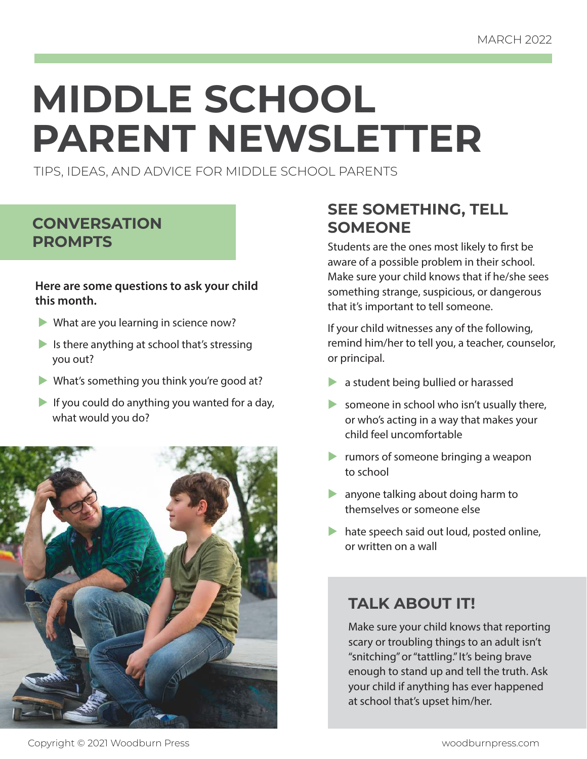# **MIDDLE SCHOOL PARENT NEWSLETTER**

TIPS, IDEAS, AND ADVICE FOR MIDDLE SCHOOL PARENTS

## **CONVERSATION PROMPTS**

#### **Here are some questions to ask your child this month.**

- $\blacktriangleright$  What are you learning in science now?
- Is there anything at school that's stressing you out?
- $\blacktriangleright$  What's something you think you're good at?
- If you could do anything you wanted for a day, what would you do?



## **SEE SOMETHING, TELL SOMEONE**

Students are the ones most likely to first be aware of a possible problem in their school. Make sure your child knows that if he/she sees something strange, suspicious, or dangerous that it's important to tell someone.

If your child witnesses any of the following, remind him/her to tell you, a teacher, counselor, or principal.

- $\blacktriangleright$  a student being bullied or harassed
- someone in school who isn't usually there, or who's acting in a way that makes your child feel uncomfortable
- $\blacktriangleright$  rumors of someone bringing a weapon to school
- $\blacktriangleright$  anyone talking about doing harm to themselves or someone else
- $\blacktriangleright$  hate speech said out loud, posted online, or written on a wall

## **TALK ABOUT IT!**

Make sure your child knows that reporting scary or troubling things to an adult isn't "snitching" or "tattling." It's being brave enough to stand up and tell the truth. Ask your child if anything has ever happened at school that's upset him/her.

Copyright © 2021 Woodburn Press woodburnpress.com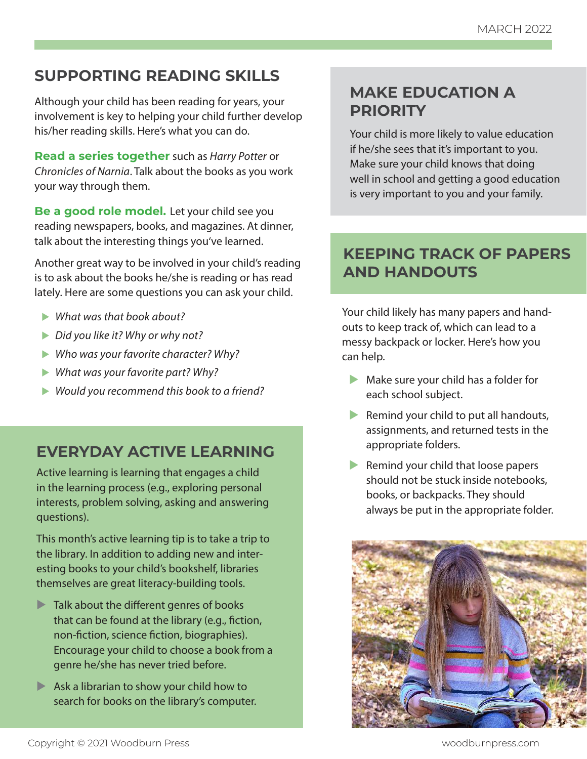## **SUPPORTING READING SKILLS**

Although your child has been reading for years, your involvement is key to helping your child further develop his/her reading skills. Here's what you can do.

**Read a series together** such as Harry Potter or Chronicles of Narnia. Talk about the books as you work your way through them.

**Be a good role model.** Let your child see you reading newspapers, books, and magazines. At dinner, talk about the interesting things you've learned.

Another great way to be involved in your child's reading is to ask about the books he/she is reading or has read lately. Here are some questions you can ask your child.

- $\blacktriangleright$  What was that book about?
- $\triangleright$  Did you like it? Why or why not?
- $\blacktriangleright$  Who was your favorite character? Why?
- $\blacktriangleright$  What was your favorite part? Why?
- $\blacktriangleright$  Would you recommend this book to a friend?

## **EVERYDAY ACTIVE LEARNING**

Active learning is learning that engages a child in the learning process (e.g., exploring personal interests, problem solving, asking and answering questions).

This month's active learning tip is to take a trip to the library. In addition to adding new and interesting books to your child's bookshelf, libraries themselves are great literacy-building tools.

- $\blacktriangleright$  Talk about the different genres of books that can be found at the library (e.g., fiction, non-fiction, science fiction, biographies). Encourage your child to choose a book from a genre he/she has never tried before.
- $\blacktriangleright$  Ask a librarian to show your child how to search for books on the library's computer.

## **MAKE EDUCATION A PRIORITY**

Your child is more likely to value education if he/she sees that it's important to you. Make sure your child knows that doing well in school and getting a good education is very important to you and your family.

## **KEEPING TRACK OF PAPERS AND HANDOUTS**

Your child likely has many papers and handouts to keep track of, which can lead to a messy backpack or locker. Here's how you can help.

- $\blacktriangleright$  Make sure your child has a folder for each school subject.
- $\blacktriangleright$  Remind your child to put all handouts, assignments, and returned tests in the appropriate folders.
- $\blacktriangleright$  Remind your child that loose papers should not be stuck inside notebooks, books, or backpacks. They should always be put in the appropriate folder.

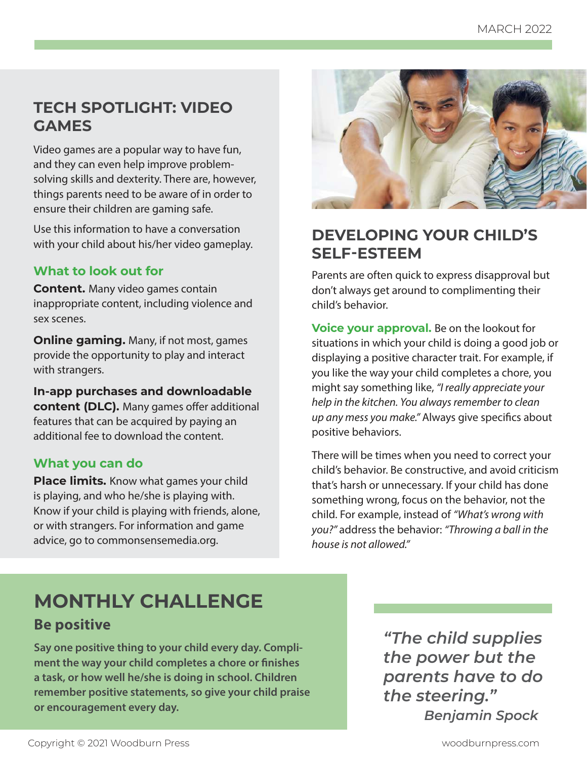## **TECH SPOTLIGHT: VIDEO GAMES**

Video games are a popular way to have fun, and they can even help improve problemsolving skills and dexterity. There are, however, things parents need to be aware of in order to ensure their children are gaming safe.

Use this information to have a conversation with your child about his/her video gameplay.

#### **What to look out for**

**Content.** Many video games contain inappropriate content, including violence and sex scenes.

**Online gaming.** Many, if not most, games provide the opportunity to play and interact with strangers.

**In-app purchases and downloadable content (DLC).** Many games offer additional features that can be acquired by paying an additional fee to download the content.

#### **What you can do**

**Place limits.** Know what games your child is playing, and who he/she is playing with. Know if your child is playing with friends, alone, or with strangers. For information and game advice, go to commonsensemedia.org.



## **DEVELOPING YOUR CHILD'S SELF-ESTEEM**

Parents are often quick to express disapproval but don't always get around to complimenting their child's behavior.

**Voice your approval.** Be on the lookout for situations in which your child is doing a good job or displaying a positive character trait. For example, if you like the way your child completes a chore, you might say something like, "I really appreciate your help in the kitchen. You always remember to clean up any mess you make." Always give specifics about positive behaviors.

There will be times when you need to correct your child's behavior. Be constructive, and avoid criticism that's harsh or unnecessary. If your child has done something wrong, focus on the behavior, not the child. For example, instead of "What's wrong with you?" address the behavior: "Throwing a ball in the house is not allowed."

# **MONTHLY CHALLENGE Be positive**

**Say one positive thing to your child every day. Compliment the way your child completes a chore or finishes a task, or how well he/she is doing in school. Children remember positive statements, so give your child praise or encouragement every day.** 

*"The child supplies the power but the parents have to do the steering." Benjamin Spock*